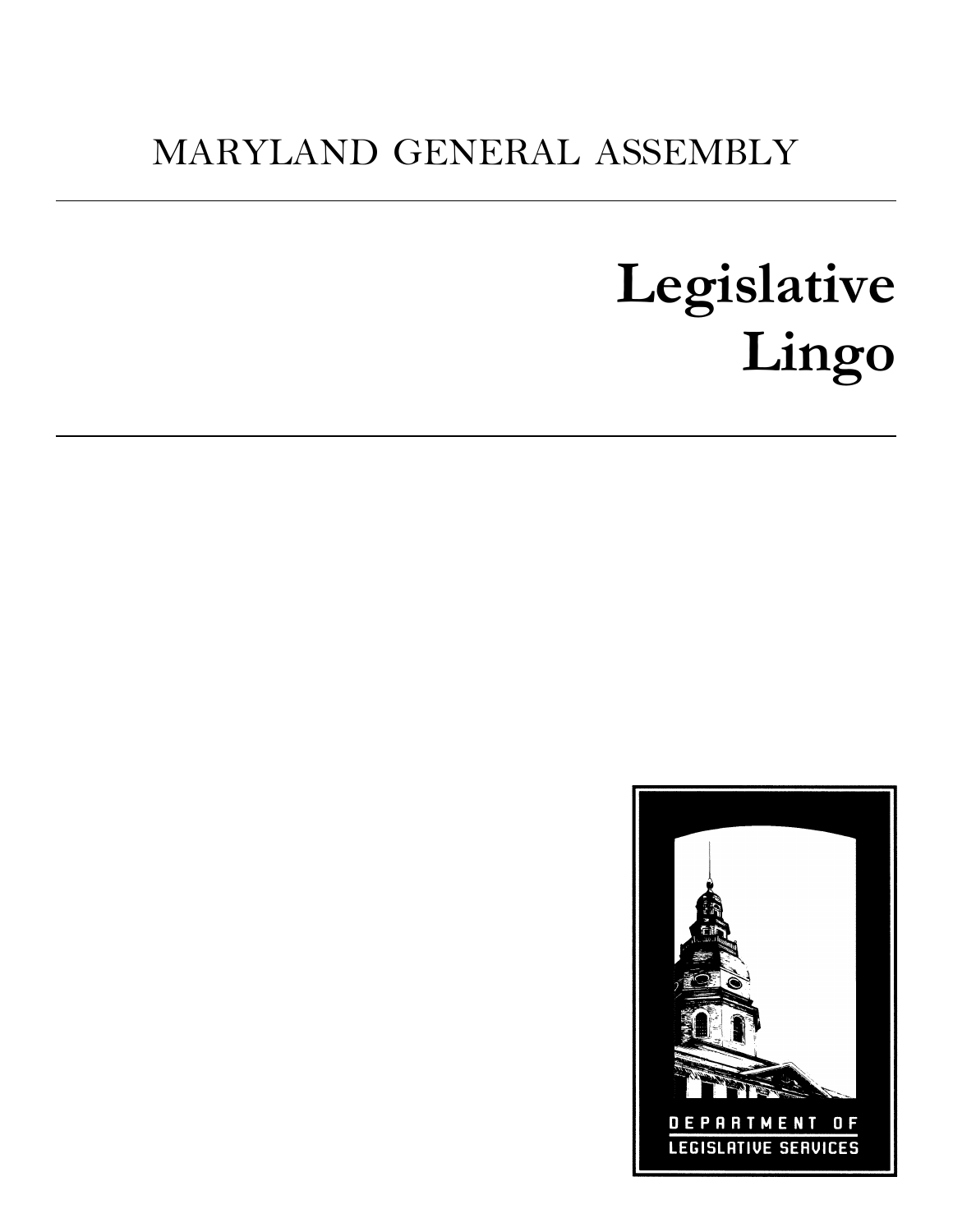# MARYLAND GENERAL ASSEMBLY

# **Legislative Lingo**

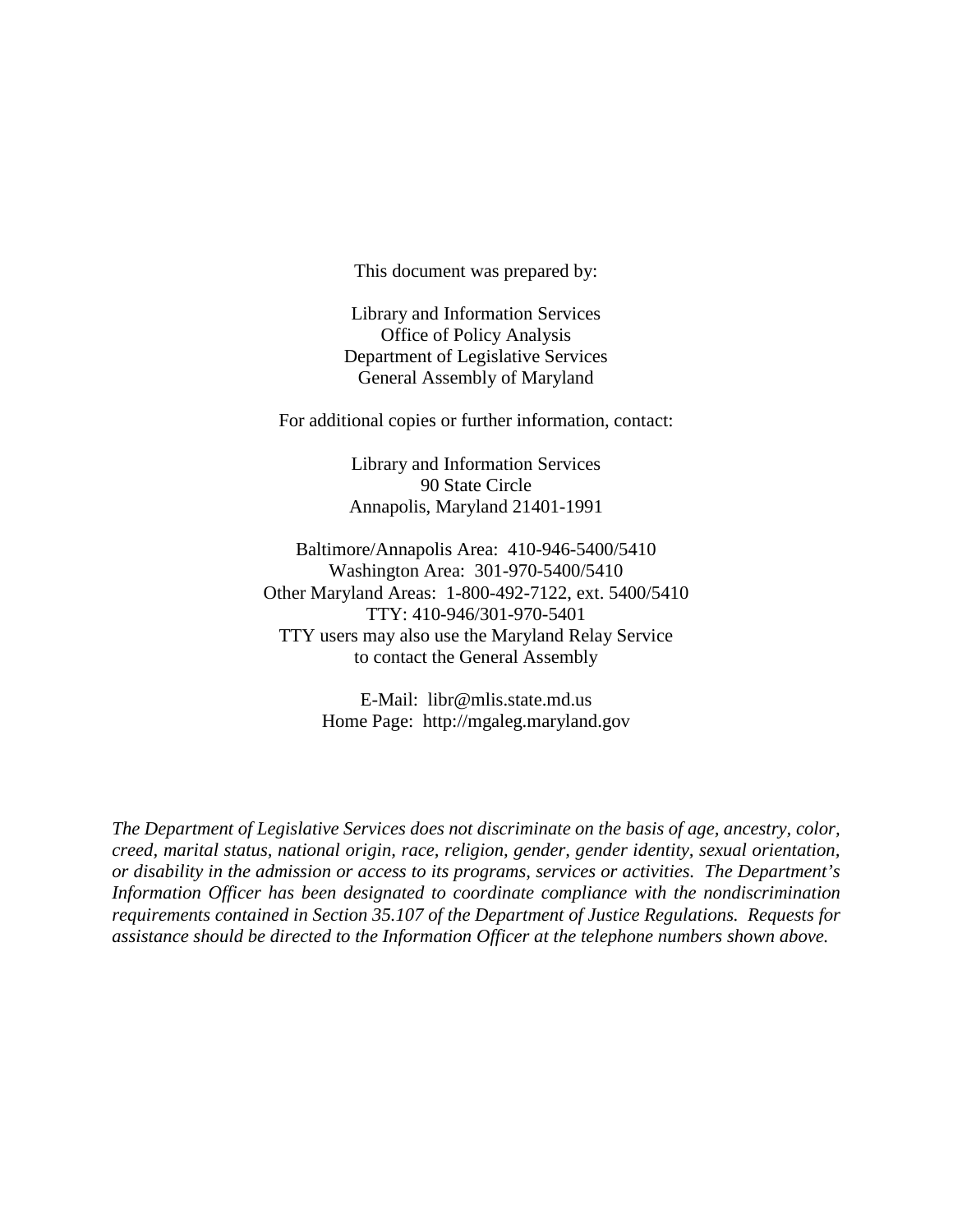This document was prepared by:

Library and Information Services Office of Policy Analysis Department of Legislative Services General Assembly of Maryland

For additional copies or further information, contact:

Library and Information Services 90 State Circle Annapolis, Maryland 21401-1991

Baltimore/Annapolis Area: 410-946-5400/5410 Washington Area: 301-970-5400/5410 Other Maryland Areas: 1-800-492-7122, ext. 5400/5410 TTY: 410-946/301-970-5401 TTY users may also use the Maryland Relay Service to contact the General Assembly

> E-Mail: libr@mlis.state.md.us Home Page: http://mgaleg.maryland.gov

*The Department of Legislative Services does not discriminate on the basis of age, ancestry, color, creed, marital status, national origin, race, religion, gender, gender identity, sexual orientation, or disability in the admission or access to its programs, services or activities. The Department's Information Officer has been designated to coordinate compliance with the nondiscrimination requirements contained in Section 35.107 of the Department of Justice Regulations. Requests for assistance should be directed to the Information Officer at the telephone numbers shown above.*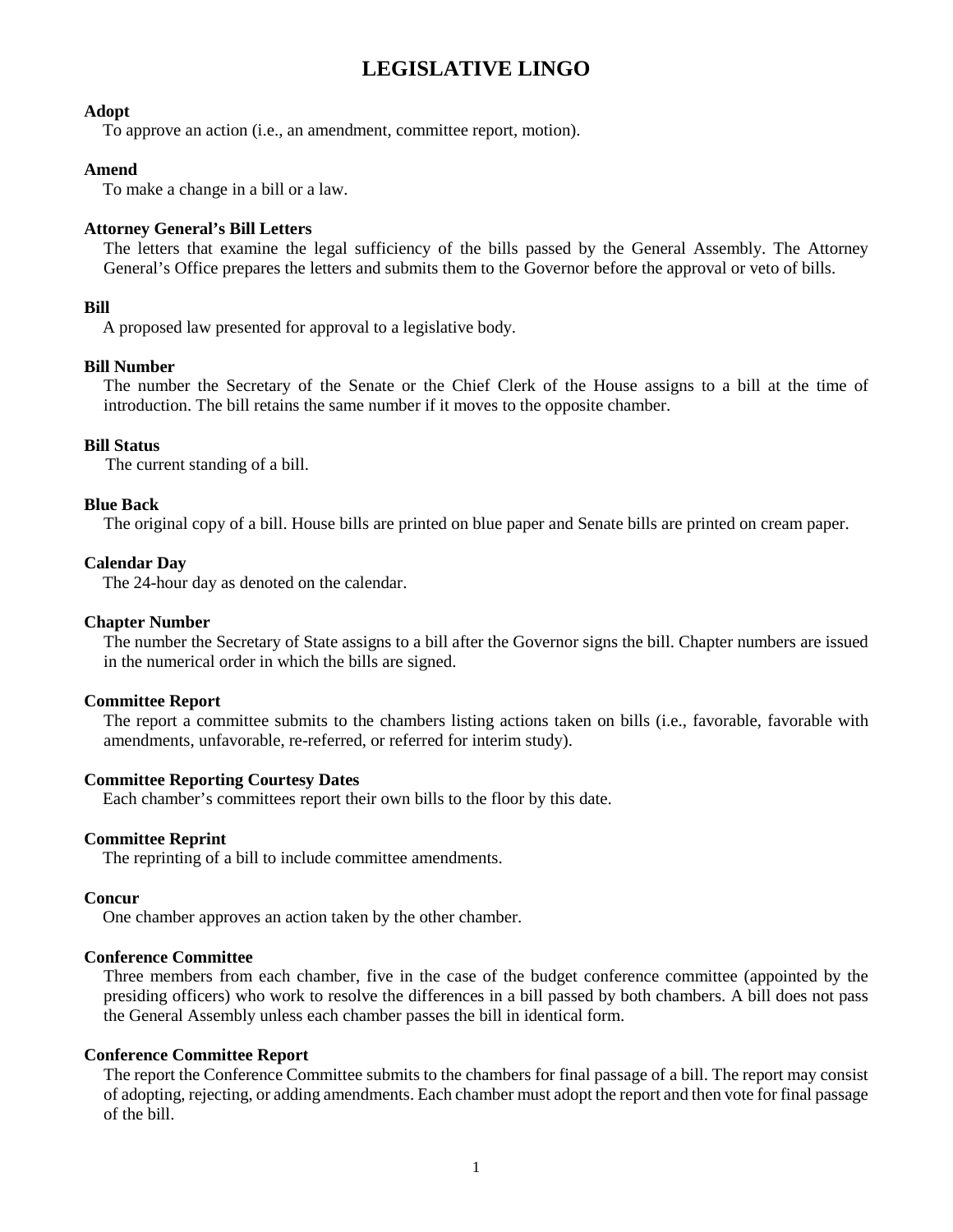# **LEGISLATIVE LINGO**

# **Adopt**

To approve an action (i.e., an amendment, committee report, motion).

# **Amend**

To make a change in a bill or a law.

# **Attorney General's Bill Letters**

The letters that examine the legal sufficiency of the bills passed by the General Assembly. The Attorney General's Office prepares the letters and submits them to the Governor before the approval or veto of bills.

# **Bill**

A proposed law presented for approval to a legislative body.

# **Bill Number**

The number the Secretary of the Senate or the Chief Clerk of the House assigns to a bill at the time of introduction. The bill retains the same number if it moves to the opposite chamber.

# **Bill Status**

The current standing of a bill.

#### **Blue Back**

The original copy of a bill. House bills are printed on blue paper and Senate bills are printed on cream paper.

#### **Calendar Day**

The 24-hour day as denoted on the calendar.

#### **Chapter Number**

The number the Secretary of State assigns to a bill after the Governor signs the bill. Chapter numbers are issued in the numerical order in which the bills are signed.

# **Committee Report**

The report a committee submits to the chambers listing actions taken on bills (i.e., favorable, favorable with amendments, unfavorable, re-referred, or referred for interim study).

# **Committee Reporting Courtesy Dates**

Each chamber's committees report their own bills to the floor by this date.

# **Committee Reprint**

The reprinting of a bill to include committee amendments.

#### **Concur**

One chamber approves an action taken by the other chamber.

#### **Conference Committee**

Three members from each chamber, five in the case of the budget conference committee (appointed by the presiding officers) who work to resolve the differences in a bill passed by both chambers. A bill does not pass the General Assembly unless each chamber passes the bill in identical form.

#### **Conference Committee Report**

The report the Conference Committee submits to the chambers for final passage of a bill. The report may consist of adopting, rejecting, or adding amendments. Each chamber must adopt the report and then vote for final passage of the bill.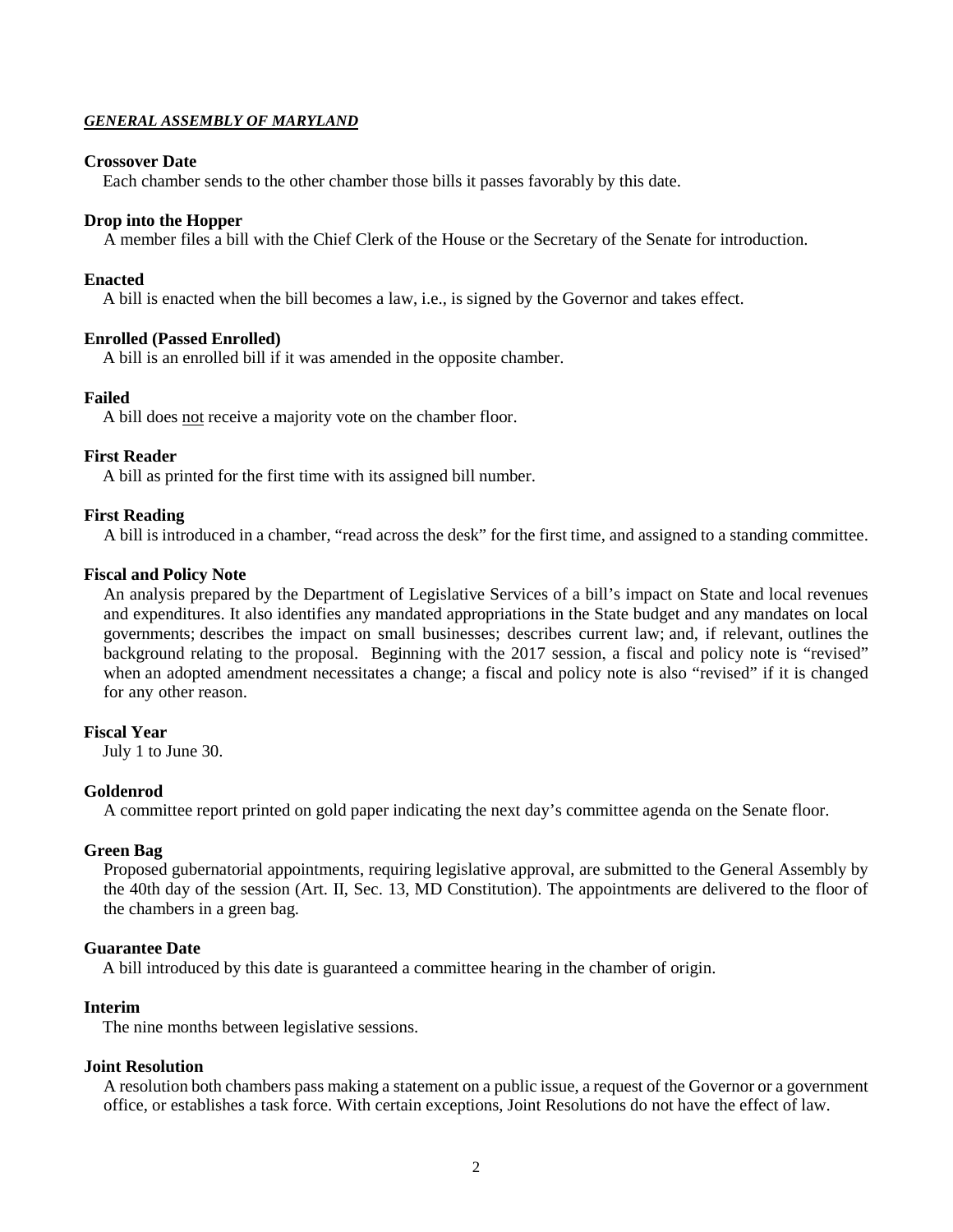# *GENERAL ASSEMBLY OF MARYLAND*

# **Crossover Date**

Each chamber sends to the other chamber those bills it passes favorably by this date.

# **Drop into the Hopper**

A member files a bill with the Chief Clerk of the House or the Secretary of the Senate for introduction.

# **Enacted**

A bill is enacted when the bill becomes a law, i.e., is signed by the Governor and takes effect.

# **Enrolled (Passed Enrolled)**

A bill is an enrolled bill if it was amended in the opposite chamber.

# **Failed**

A bill does not receive a majority vote on the chamber floor.

# **First Reader**

A bill as printed for the first time with its assigned bill number.

# **First Reading**

A bill is introduced in a chamber, "read across the desk" for the first time, and assigned to a standing committee.

# **Fiscal and Policy Note**

An analysis prepared by the Department of Legislative Services of a bill's impact on State and local revenues and expenditures. It also identifies any mandated appropriations in the State budget and any mandates on local governments; describes the impact on small businesses; describes current law; and, if relevant, outlines the background relating to the proposal. Beginning with the 2017 session, a fiscal and policy note is "revised" when an adopted amendment necessitates a change; a fiscal and policy note is also "revised" if it is changed for any other reason.

# **Fiscal Year**

July 1 to June 30.

# **Goldenrod**

A committee report printed on gold paper indicating the next day's committee agenda on the Senate floor.

# **Green Bag**

Proposed gubernatorial appointments, requiring legislative approval, are submitted to the General Assembly by the 40th day of the session (Art. II, Sec. 13, MD Constitution). The appointments are delivered to the floor of the chambers in a green bag.

# **Guarantee Date**

A bill introduced by this date is guaranteed a committee hearing in the chamber of origin.

# **Interim**

The nine months between legislative sessions.

# **Joint Resolution**

A resolution both chambers pass making a statement on a public issue, a request of the Governor or a government office, or establishes a task force. With certain exceptions, Joint Resolutions do not have the effect of law.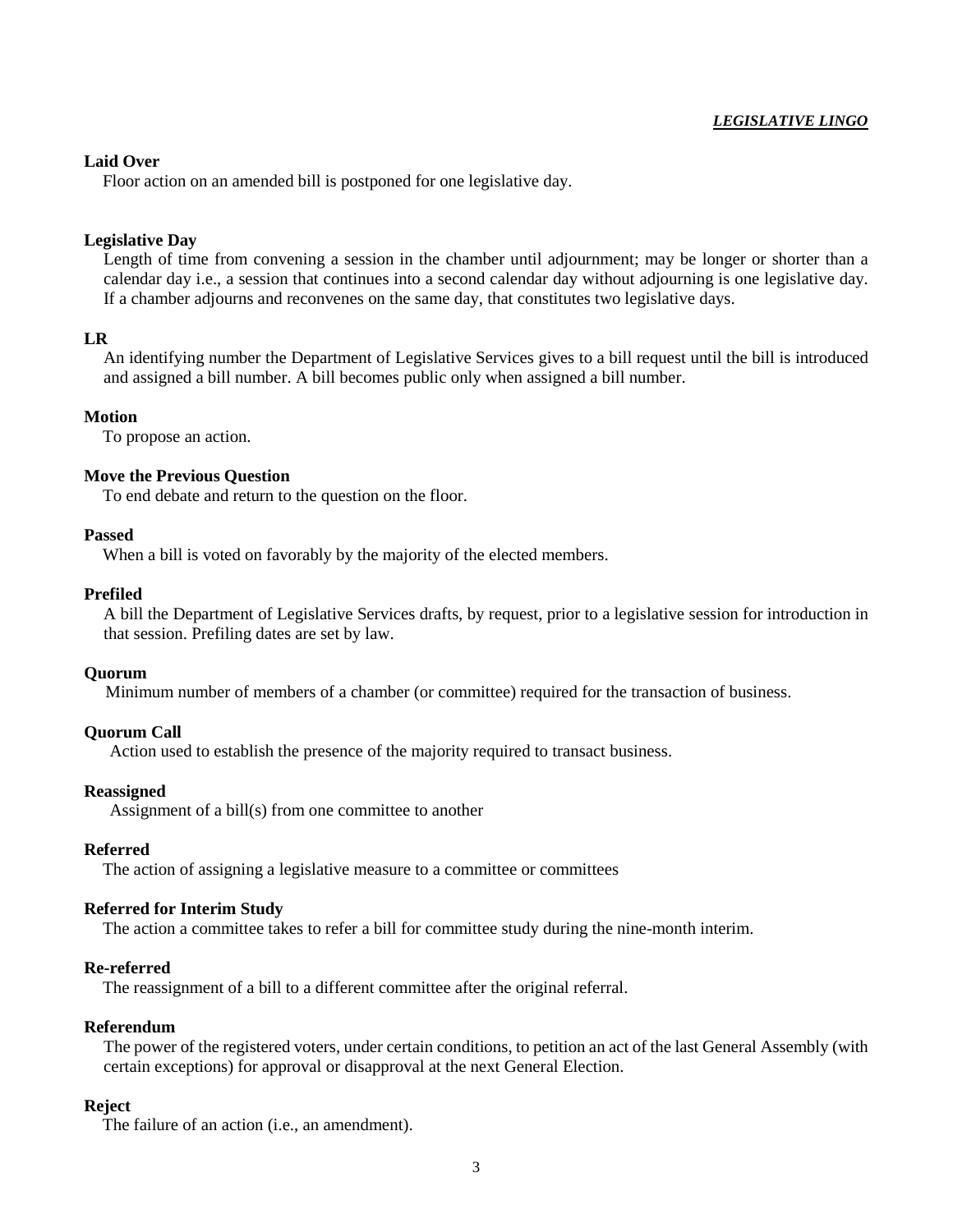# *LEGISLATIVE LINGO*

# **Laid Over**

Floor action on an amended bill is postponed for one legislative day.

# **Legislative Day**

Length of time from convening a session in the chamber until adjournment; may be longer or shorter than a calendar day i.e., a session that continues into a second calendar day without adjourning is one legislative day. If a chamber adjourns and reconvenes on the same day, that constitutes two legislative days.

# **LR**

An identifying number the Department of Legislative Services gives to a bill request until the bill is introduced and assigned a bill number. A bill becomes public only when assigned a bill number.

#### **Motion**

To propose an action.

#### **Move the Previous Question**

To end debate and return to the question on the floor.

#### **Passed**

When a bill is voted on favorably by the majority of the elected members.

#### **Prefiled**

A bill the Department of Legislative Services drafts, by request, prior to a legislative session for introduction in that session. Prefiling dates are set by law.

#### **Quorum**

Minimum number of members of a chamber (or committee) required for the transaction of business.

#### **Quorum Call**

Action used to establish the presence of the majority required to transact business.

#### **Reassigned**

Assignment of a bill(s) from one committee to another

# **Referred**

The action of assigning a legislative measure to a committee or committees

# **Referred for Interim Study**

The action a committee takes to refer a bill for committee study during the nine-month interim.

# **Re-referred**

The reassignment of a bill to a different committee after the original referral.

# **Referendum**

The power of the registered voters, under certain conditions, to petition an act of the last General Assembly (with certain exceptions) for approval or disapproval at the next General Election.

#### **Reject**

The failure of an action (i.e., an amendment).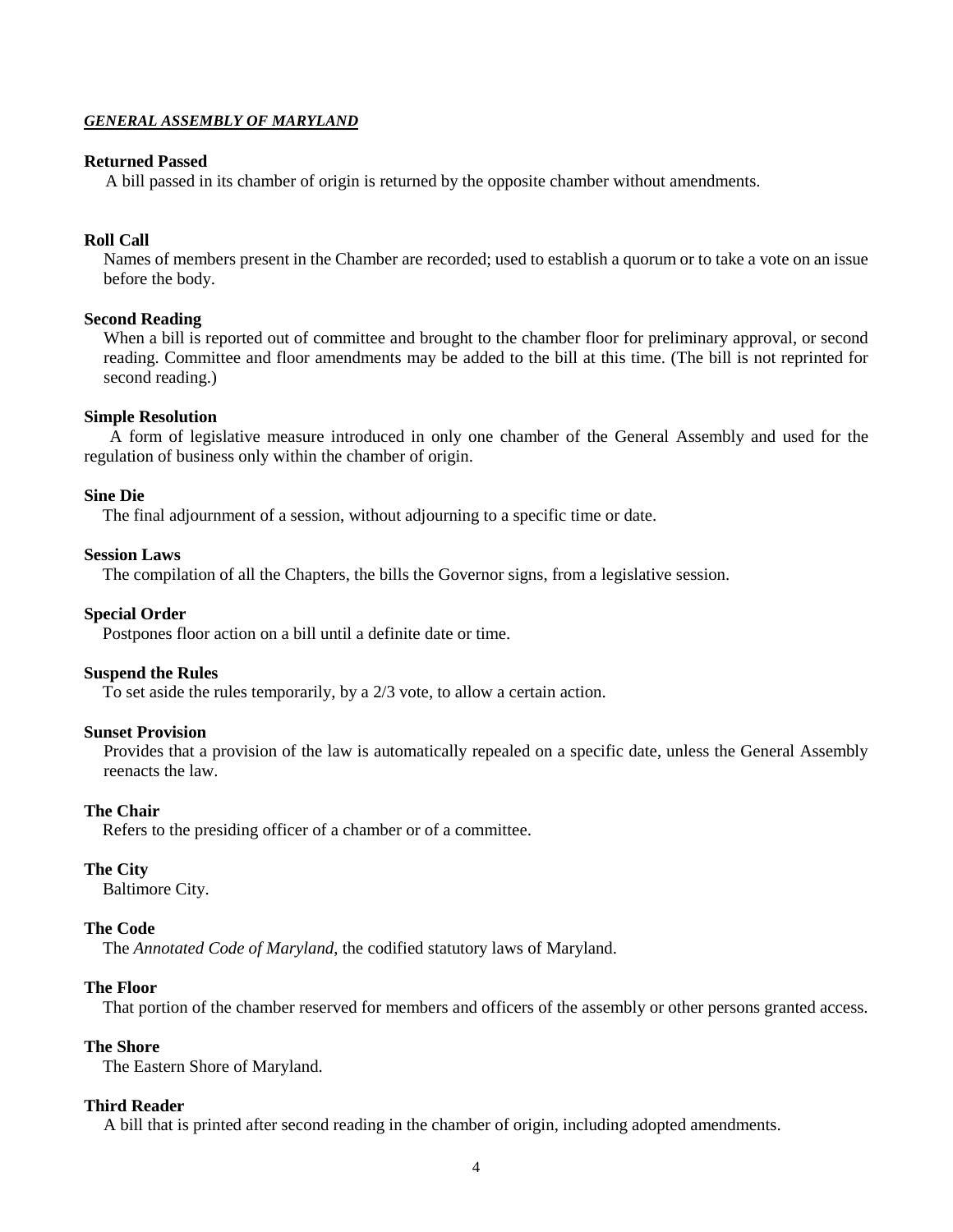# *GENERAL ASSEMBLY OF MARYLAND*

# **Returned Passed**

A bill passed in its chamber of origin is returned by the opposite chamber without amendments.

# **Roll Call**

Names of members present in the Chamber are recorded; used to establish a quorum or to take a vote on an issue before the body.

# **Second Reading**

When a bill is reported out of committee and brought to the chamber floor for preliminary approval, or second reading. Committee and floor amendments may be added to the bill at this time. (The bill is not reprinted for second reading.)

#### **Simple Resolution**

A form of legislative measure introduced in only one chamber of the General Assembly and used for the regulation of business only within the chamber of origin.

#### **Sine Die**

The final adjournment of a session, without adjourning to a specific time or date.

#### **Session Laws**

The compilation of all the Chapters, the bills the Governor signs, from a legislative session.

#### **Special Order**

Postpones floor action on a bill until a definite date or time.

#### **Suspend the Rules**

To set aside the rules temporarily, by a 2/3 vote, to allow a certain action.

#### **Sunset Provision**

Provides that a provision of the law is automatically repealed on a specific date, unless the General Assembly reenacts the law.

#### **The Chair**

Refers to the presiding officer of a chamber or of a committee.

# **The City**

Baltimore City.

#### **The Code**

The *Annotated Code of Maryland*, the codified statutory laws of Maryland.

# **The Floor**

That portion of the chamber reserved for members and officers of the assembly or other persons granted access.

#### **The Shore**

The Eastern Shore of Maryland.

#### **Third Reader**

A bill that is printed after second reading in the chamber of origin, including adopted amendments.